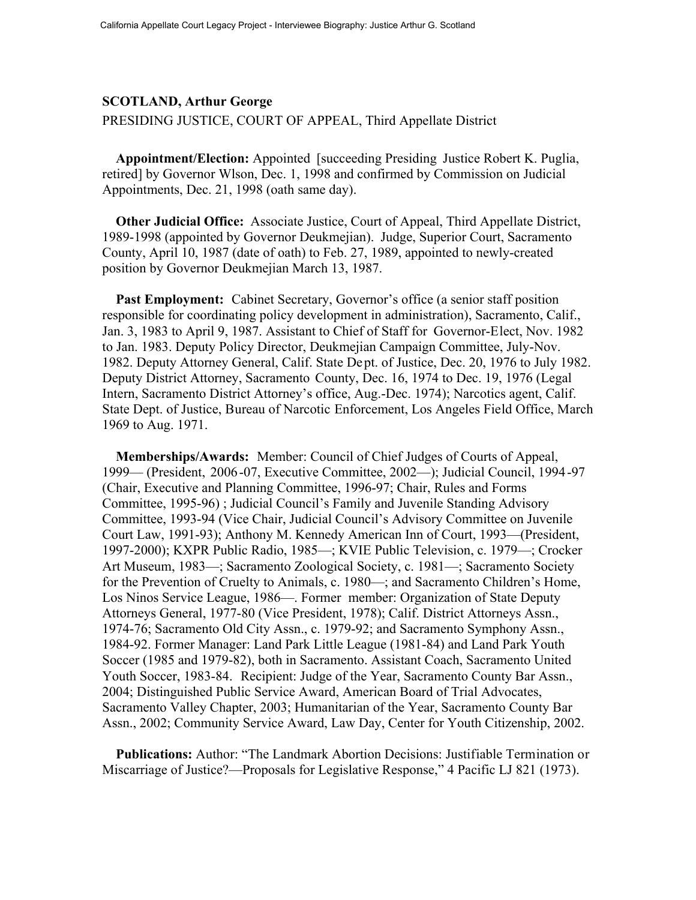## **SCOTLAND, Arthur George**

PRESIDING JUSTICE, COURT OF APPEAL, Third Appellate District

**Appointment/Election:** Appointed [succeeding Presiding Justice Robert K. Puglia, retired] by Governor Wlson, Dec. 1, 1998 and confirmed by Commission on Judicial Appointments, Dec. 21, 1998 (oath same day).

**Other Judicial Office:** Associate Justice, Court of Appeal, Third Appellate District, 1989-1998 (appointed by Governor Deukmejian). Judge, Superior Court, Sacramento County, April 10, 1987 (date of oath) to Feb. 27, 1989, appointed to newly-created position by Governor Deukmejian March 13, 1987.

Past Employment: Cabinet Secretary, Governor's office (a senior staff position responsible for coordinating policy development in administration), Sacramento, Calif., Jan. 3, 1983 to April 9, 1987. Assistant to Chief of Staff for Governor-Elect, Nov. 1982 to Jan. 1983. Deputy Policy Director, Deukmejian Campaign Committee, July-Nov. 1982. Deputy Attorney General, Calif. State Dept. of Justice, Dec. 20, 1976 to July 1982. Deputy District Attorney, Sacramento County, Dec. 16, 1974 to Dec. 19, 1976 (Legal Intern, Sacramento District Attorney's office, Aug.-Dec. 1974); Narcotics agent, Calif. State Dept. of Justice, Bureau of Narcotic Enforcement, Los Angeles Field Office, March 1969 to Aug. 1971.

**Memberships/Awards:** Member: Council of Chief Judges of Courts of Appeal, 1999— (President, 2006-07, Executive Committee, 2002—); Judicial Council, 1994-97 (Chair, Executive and Planning Committee, 1996-97; Chair, Rules and Forms Committee, 1995-96) ; Judicial Council's Family and Juvenile Standing Advisory Committee, 1993-94 (Vice Chair, Judicial Council's Advisory Committee on Juvenile Court Law, 1991-93); Anthony M. Kennedy American Inn of Court, 1993—(President, 1997-2000); KXPR Public Radio, 1985—; KVIE Public Television, c. 1979—; Crocker Art Museum, 1983—; Sacramento Zoological Society, c. 1981—; Sacramento Society for the Prevention of Cruelty to Animals, c. 1980—; and Sacramento Children's Home, Los Ninos Service League, 1986—. Former member: Organization of State Deputy Attorneys General, 1977-80 (Vice President, 1978); Calif. District Attorneys Assn., 1974-76; Sacramento Old City Assn., c. 1979-92; and Sacramento Symphony Assn., 1984-92. Former Manager: Land Park Little League (1981-84) and Land Park Youth Soccer (1985 and 1979-82), both in Sacramento. Assistant Coach, Sacramento United Youth Soccer, 1983-84. Recipient: Judge of the Year, Sacramento County Bar Assn., 2004; Distinguished Public Service Award, American Board of Trial Advocates, Sacramento Valley Chapter, 2003; Humanitarian of the Year, Sacramento County Bar Assn., 2002; Community Service Award, Law Day, Center for Youth Citizenship, 2002.

**Publications:** Author: "The Landmark Abortion Decisions: Justifiable Termination or Miscarriage of Justice?—Proposals for Legislative Response," 4 Pacific LJ 821 (1973).